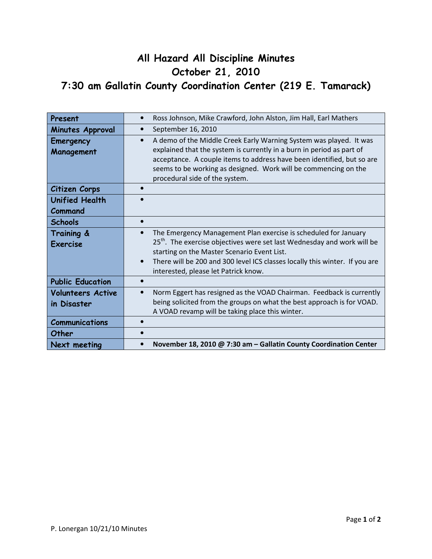## All Hazard All Discipline Minutes October 21, 2010 7:30 am Gallatin County Coordination Center (219 E. Tamarack)

| Present                                 | Ross Johnson, Mike Crawford, John Alston, Jim Hall, Earl Mathers                                                                                                                                                                                                                                                                        |
|-----------------------------------------|-----------------------------------------------------------------------------------------------------------------------------------------------------------------------------------------------------------------------------------------------------------------------------------------------------------------------------------------|
| Minutes Approval                        | September 16, 2010                                                                                                                                                                                                                                                                                                                      |
| <b>Emergency</b><br>Management          | A demo of the Middle Creek Early Warning System was played. It was<br>$\bullet$<br>explained that the system is currently in a burn in period as part of<br>acceptance. A couple items to address have been identified, but so are<br>seems to be working as designed. Work will be commencing on the<br>procedural side of the system. |
| Citizen Corps                           |                                                                                                                                                                                                                                                                                                                                         |
| <b>Unified Health</b>                   |                                                                                                                                                                                                                                                                                                                                         |
| Command                                 |                                                                                                                                                                                                                                                                                                                                         |
| <b>Schools</b>                          |                                                                                                                                                                                                                                                                                                                                         |
| Training &<br><b>Exercise</b>           | The Emergency Management Plan exercise is scheduled for January<br>25 <sup>th</sup> . The exercise objectives were set last Wednesday and work will be<br>starting on the Master Scenario Event List.<br>There will be 200 and 300 level ICS classes locally this winter. If you are<br>interested, please let Patrick know.            |
| <b>Public Education</b>                 |                                                                                                                                                                                                                                                                                                                                         |
| <b>Volunteers Active</b><br>in Disaster | Norm Eggert has resigned as the VOAD Chairman. Feedback is currently<br>$\bullet$<br>being solicited from the groups on what the best approach is for VOAD.<br>A VOAD revamp will be taking place this winter.                                                                                                                          |
| <b>Communications</b>                   |                                                                                                                                                                                                                                                                                                                                         |
| Other                                   |                                                                                                                                                                                                                                                                                                                                         |
| Next meeting                            | November 18, 2010 @ 7:30 am - Gallatin County Coordination Center<br>$\bullet$                                                                                                                                                                                                                                                          |